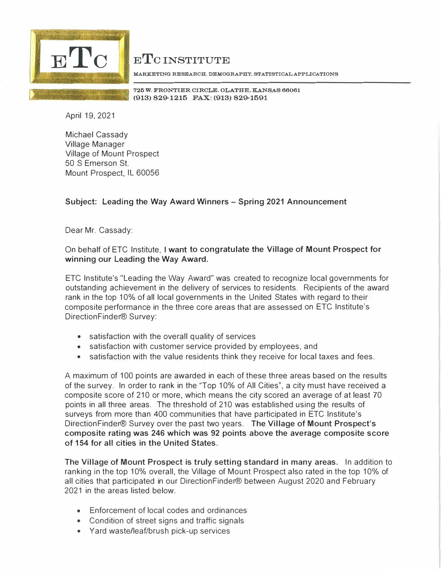

ETC INSTITUTE

**MARKETING RESEARCH. DEMOGRAPHY, STATISTICAL APPLICATIONS** 

**725 W. FRONTIER CIRCLE, OLATHE, KANSAS 66061 (913) 829-1215 FAX: (913) 829-1591**

April 19, 2021

Michael Cassady Village Manager Village of Mount Prospect 50 S Emerson St. Mount Prospect, IL 60056

## **Subject: Leading the Way Award Winners - Spring 2021 Announcement**

Dear Mr. Cassady:

On behalf of ETC Institute, I **want to congratulate the Village of Mount Prospect for winning our Leading the Way Award.**

ETC lnstitute's "Leading the Way Award" was created to recognize local governments for outstanding achievement in the delivery of services to residents. Recipients of the award rank in the top 10% of all local governments in the United States with regard to their composite performance in the three core areas that are assessed on ETC lnstitute's DirectionFinder® Survey:

- satisfaction with the overall quality of services
- satisfaction with customer service provided by employees, and
- satisfaction with the value residents think they receive for local taxes and fees.

A maximum of 100 points are awarded in each of these three areas based on the results of the survey. In order to rank in the "Top 10% of All Cities", a city must have received a composite score of 210 or more, which means the city scored an average of at least 70 points in all three areas. The threshold of 210 was established using the results of surveys from more than 400 communities that have participated in ETC lnstitute's Direction Finder® Survey over the past two years. **The Village of Mount Prospect's composite rating was 246 which was 92 points above the average composite score of 154 for all cities in the United States.** 

**The Village of Mount Prospect is truly setting standard in many areas.** In addition to ranking in the top 10% overall, the Village of Mount Prospect also rated in the top 10% of all cities that participated in our DirectionFinder® between August 2020 and February 2021 in the areas listed below.

- Enforcement of local codes and ordinances
- Condition of street signs and traffic signals
- Yard waste/leaf/brush pick-up services